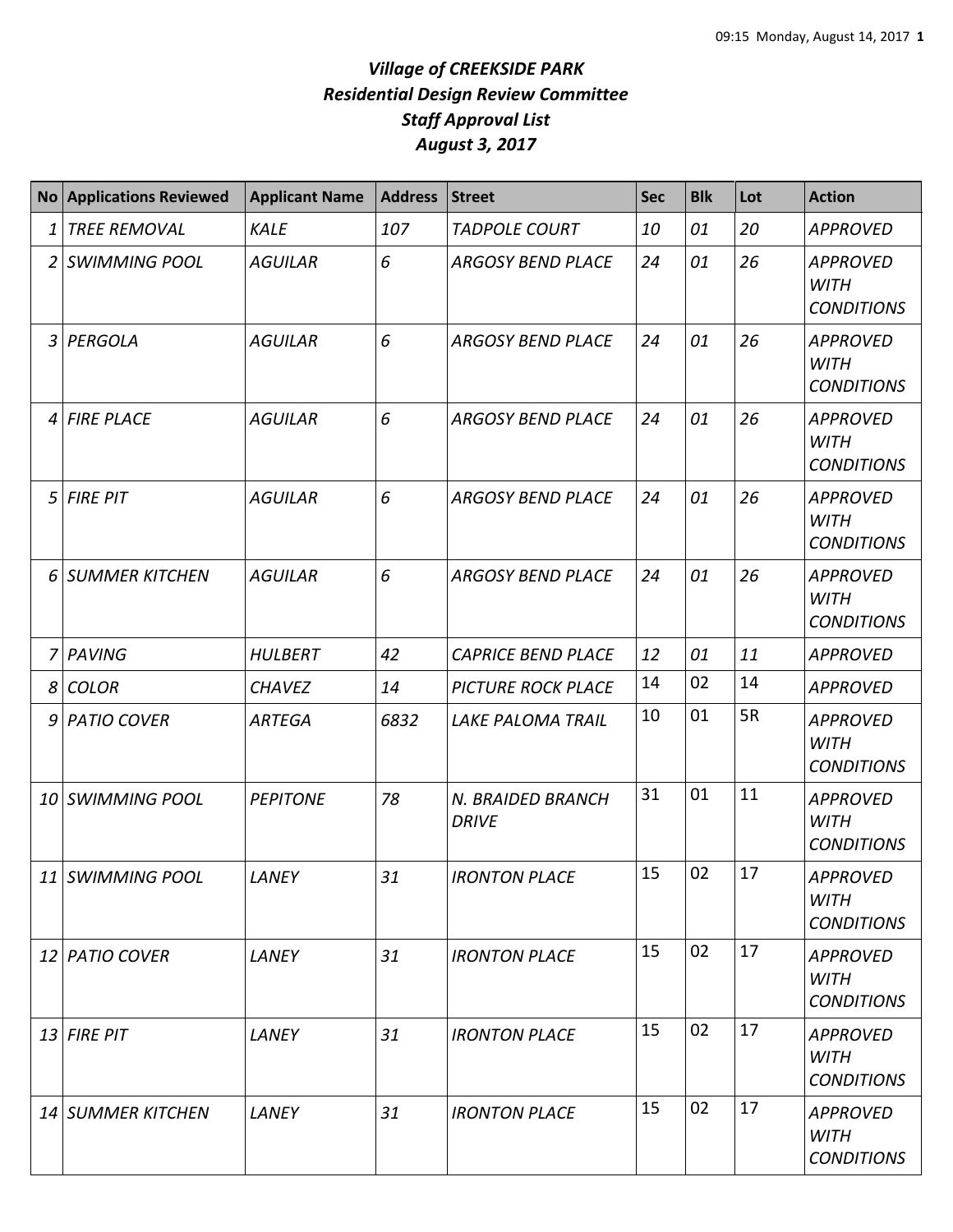## *Village of CREEKSIDE PARK Residential Design Review Committee Staff Approval List August 3, 2017*

|                | <b>No Applications Reviewed</b> | <b>Applicant Name</b> | <b>Address</b> | <b>Street</b>                     | <b>Sec</b> | <b>Blk</b> | Lot | <b>Action</b>                                       |
|----------------|---------------------------------|-----------------------|----------------|-----------------------------------|------------|------------|-----|-----------------------------------------------------|
| 1              | <b>TREE REMOVAL</b>             | <b>KALE</b>           | 107            | <b>TADPOLE COURT</b>              | 10         | 01         | 20  | <b>APPROVED</b>                                     |
| 2              | <b>SWIMMING POOL</b>            | <b>AGUILAR</b>        | 6              | <b>ARGOSY BEND PLACE</b>          | 24         | 01         | 26  | <b>APPROVED</b><br><b>WITH</b><br><b>CONDITIONS</b> |
| 3              | PERGOLA                         | <b>AGUILAR</b>        | 6              | <b>ARGOSY BEND PLACE</b>          | 24         | 01         | 26  | <b>APPROVED</b><br><b>WITH</b><br><b>CONDITIONS</b> |
| $\overline{4}$ | <b>FIRE PLACE</b>               | <b>AGUILAR</b>        | 6              | <b>ARGOSY BEND PLACE</b>          | 24         | 01         | 26  | <b>APPROVED</b><br><b>WITH</b><br><b>CONDITIONS</b> |
| 5              | <b>FIRE PIT</b>                 | <b>AGUILAR</b>        | 6              | <b>ARGOSY BEND PLACE</b>          | 24         | 01         | 26  | <b>APPROVED</b><br><b>WITH</b><br><b>CONDITIONS</b> |
| 6              | <b>SUMMER KITCHEN</b>           | <b>AGUILAR</b>        | 6              | <b>ARGOSY BEND PLACE</b>          | 24         | 01         | 26  | <b>APPROVED</b><br><b>WITH</b><br><b>CONDITIONS</b> |
| 7              | <b>PAVING</b>                   | <b>HULBERT</b>        | 42             | <b>CAPRICE BEND PLACE</b>         | 12         | 01         | 11  | <b>APPROVED</b>                                     |
| 8              | <b>COLOR</b>                    | <b>CHAVEZ</b>         | 14             | <b>PICTURE ROCK PLACE</b>         | 14         | 02         | 14  | <b>APPROVED</b>                                     |
| 9              | <b>PATIO COVER</b>              | <b>ARTEGA</b>         | 6832           | <b>LAKE PALOMA TRAIL</b>          | 10         | 01         | 5R  | <b>APPROVED</b><br><b>WITH</b><br><b>CONDITIONS</b> |
| 10             | <b>SWIMMING POOL</b>            | <b>PEPITONE</b>       | 78             | N. BRAIDED BRANCH<br><b>DRIVE</b> | 31         | 01         | 11  | <b>APPROVED</b><br><b>WITH</b><br><b>CONDITIONS</b> |
|                | 11 SWIMMING POOL                | LANEY                 | 31             | <b>IRONTON PLACE</b>              | 15         | 02         | 17  | APPROVED<br><b>WITH</b><br><b>CONDITIONS</b>        |
|                | 12 PATIO COVER                  | LANEY                 | 31             | <b>IRONTON PLACE</b>              | 15         | 02         | 17  | <b>APPROVED</b><br>WITH<br><b>CONDITIONS</b>        |
|                | $13$ FIRE PIT                   | LANEY                 | 31             | <b>IRONTON PLACE</b>              | 15         | 02         | 17  | <b>APPROVED</b><br><b>WITH</b><br><b>CONDITIONS</b> |
|                | 14 SUMMER KITCHEN               | LANEY                 | 31             | <b>IRONTON PLACE</b>              | 15         | 02         | 17  | <b>APPROVED</b><br><b>WITH</b><br><b>CONDITIONS</b> |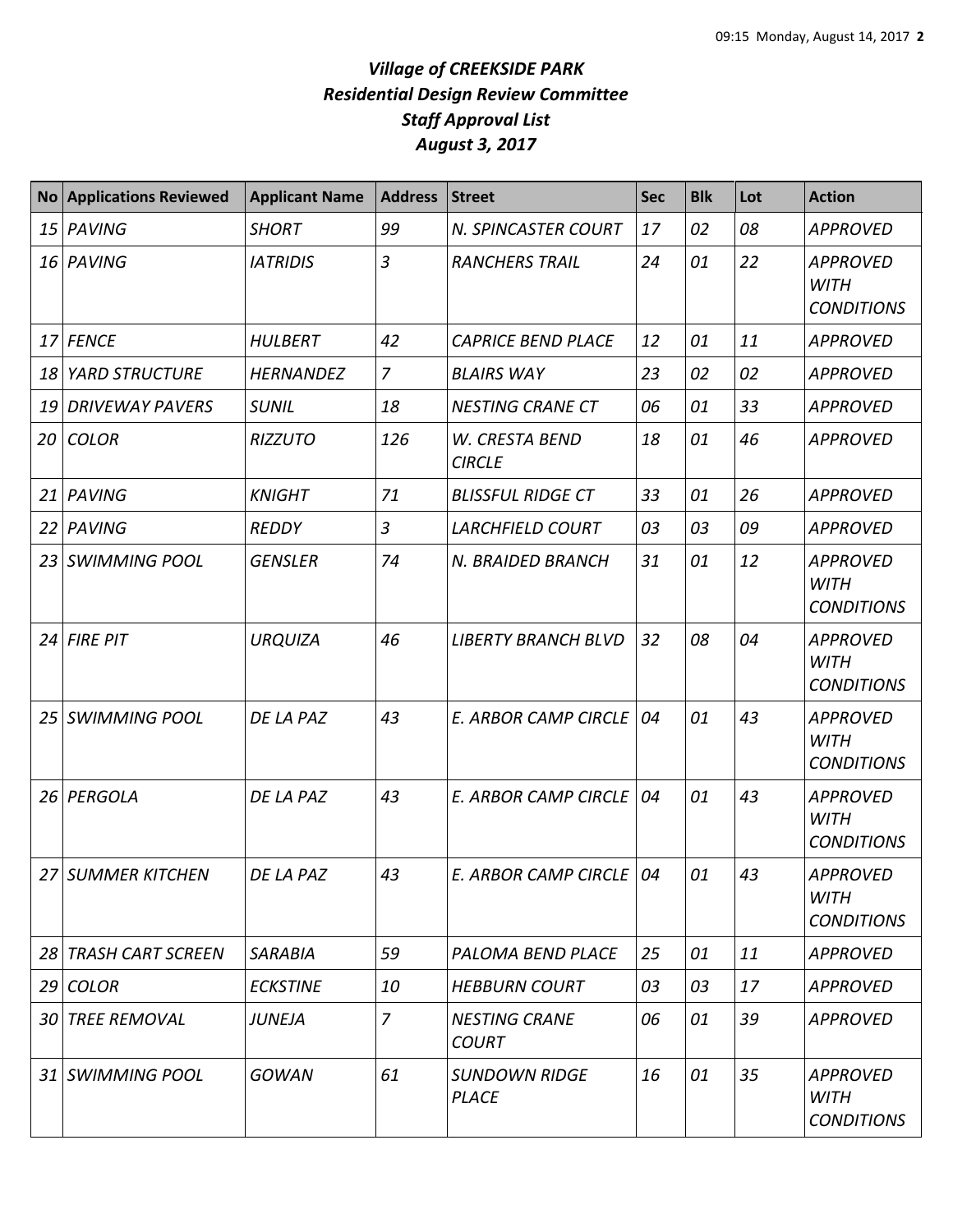## *Village of CREEKSIDE PARK Residential Design Review Committee Staff Approval List August 3, 2017*

| <b>No</b> | <b>Applications Reviewed</b> | <b>Applicant Name</b> | <b>Address</b> | <b>Street</b>                        | <b>Sec</b> | <b>Blk</b> | Lot | <b>Action</b>                                       |
|-----------|------------------------------|-----------------------|----------------|--------------------------------------|------------|------------|-----|-----------------------------------------------------|
| 15        | PAVING                       | <b>SHORT</b>          | 99             | N. SPINCASTER COURT                  | 17         | 02         | 08  | <b>APPROVED</b>                                     |
| 16        | PAVING                       | <b>IATRIDIS</b>       | $\overline{3}$ | <b>RANCHERS TRAIL</b>                | 24         | 01         | 22  | <b>APPROVED</b><br><b>WITH</b><br><b>CONDITIONS</b> |
| 17        | <b>FENCE</b>                 | <b>HULBERT</b>        | 42             | <b>CAPRICE BEND PLACE</b>            | 12         | 01         | 11  | <b>APPROVED</b>                                     |
| 18        | <b>YARD STRUCTURE</b>        | <b>HERNANDEZ</b>      | $\overline{7}$ | <b>BLAIRS WAY</b>                    | 23         | 02         | 02  | <b>APPROVED</b>                                     |
| 19        | <b>DRIVEWAY PAVERS</b>       | <b>SUNIL</b>          | 18             | <b>NESTING CRANE CT</b>              | 06         | 01         | 33  | <b>APPROVED</b>                                     |
| 20        | <b>COLOR</b>                 | <b>RIZZUTO</b>        | 126            | W. CRESTA BEND<br><b>CIRCLE</b>      | 18         | 01         | 46  | <b>APPROVED</b>                                     |
| 21        | PAVING                       | <b>KNIGHT</b>         | 71             | <b>BLISSFUL RIDGE CT</b>             | 33         | 01         | 26  | <b>APPROVED</b>                                     |
| 22        | PAVING                       | <b>REDDY</b>          | $\overline{3}$ | <b>LARCHFIELD COURT</b>              | 03         | 03         | 09  | <b>APPROVED</b>                                     |
| 23        | <b>SWIMMING POOL</b>         | <b>GENSLER</b>        | 74             | N. BRAIDED BRANCH                    | 31         | 01         | 12  | <b>APPROVED</b><br><b>WITH</b><br><b>CONDITIONS</b> |
| 24        | <b>FIRE PIT</b>              | <b>URQUIZA</b>        | 46             | <b>LIBERTY BRANCH BLVD</b>           | 32         | 08         | 04  | <b>APPROVED</b><br><b>WITH</b><br><b>CONDITIONS</b> |
| 25        | <b>SWIMMING POOL</b>         | DE LA PAZ             | 43             | <b>E. ARBOR CAMP CIRCLE</b>          | 04         | 01         | 43  | <b>APPROVED</b><br><b>WITH</b><br><b>CONDITIONS</b> |
| 26        | PERGOLA                      | DE LA PAZ             | 43             | E. ARBOR CAMP CIRCLE                 | 04         | 01         | 43  | <b>APPROVED</b><br><b>WITH</b><br><b>CONDITIONS</b> |
|           | 27 SUMMER KITCHEN            | DE LA PAZ             | 43             | E. ARBOR CAMP CIRCLE   04            |            | 01         | 43  | <b>APPROVED</b><br><b>WITH</b><br><b>CONDITIONS</b> |
|           | 28 TRASH CART SCREEN         | <b>SARABIA</b>        | 59             | PALOMA BEND PLACE                    | 25         | 01         | 11  | <b>APPROVED</b>                                     |
|           | 29 COLOR                     | <b>ECKSTINE</b>       | 10             | <b>HEBBURN COURT</b>                 | 03         | 03         | 17  | <b>APPROVED</b>                                     |
|           | 30 TREE REMOVAL              | <b>JUNEJA</b>         | $\overline{7}$ | <b>NESTING CRANE</b><br><b>COURT</b> | 06         | 01         | 39  | <b>APPROVED</b>                                     |
|           | 31 SWIMMING POOL             | <b>GOWAN</b>          | 61             | <b>SUNDOWN RIDGE</b><br><b>PLACE</b> | 16         | 01         | 35  | <b>APPROVED</b><br><b>WITH</b><br><b>CONDITIONS</b> |